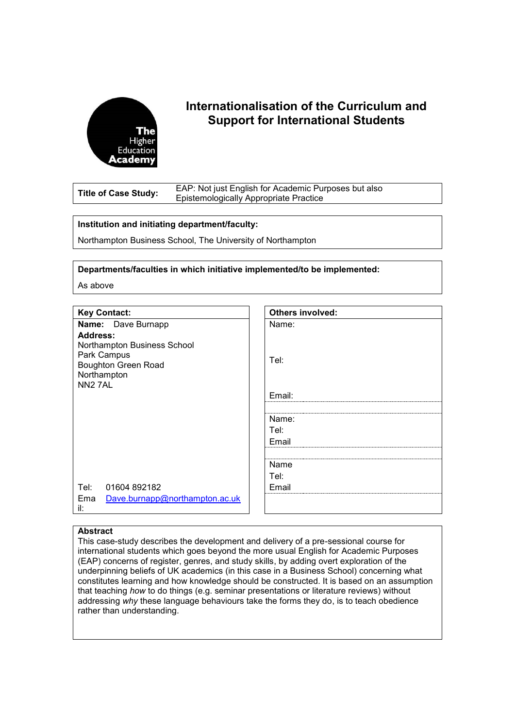

# **Internationalisation of the Curriculum and Support for International Students**

**Title of Case Study:** EAP: Not just English for Academic Purposes but also Epistemologically Appropriate Practice

# **Institution and initiating department/faculty:**

Northampton Business School, The University of Northampton

**Departments/faculties in which initiative implemented/to be implemented:**

As above

# **Key Contact:**

**Name:** Dave Burnapp **Address:** Northampton Business School Park Campus Boughton Green Road Northampton NN2 7AL

| <b>Others involved:</b> |
|-------------------------|
| Name:                   |
| Tel:                    |
|                         |
| Email:                  |
|                         |
| Name:                   |
| Tel:                    |
| Email                   |
|                         |
| Name                    |
| Tel:                    |
| Email                   |
|                         |
|                         |

## **Abstract**

il:

Tel: 01604 892182

Ema [Dave.burnapp@northampton.ac.uk](mailto:Dave.burnapp@northampton.ac.uk)

This case-study describes the development and delivery of a pre-sessional course for international students which goes beyond the more usual English for Academic Purposes (EAP) concerns of register, genres, and study skills, by adding overt exploration of the underpinning beliefs of UK academics (in this case in a Business School) concerning what constitutes learning and how knowledge should be constructed. It is based on an assumption that teaching *how* to do things (e.g. seminar presentations or literature reviews) without addressing *why* these language behaviours take the forms they do, is to teach obedience rather than understanding.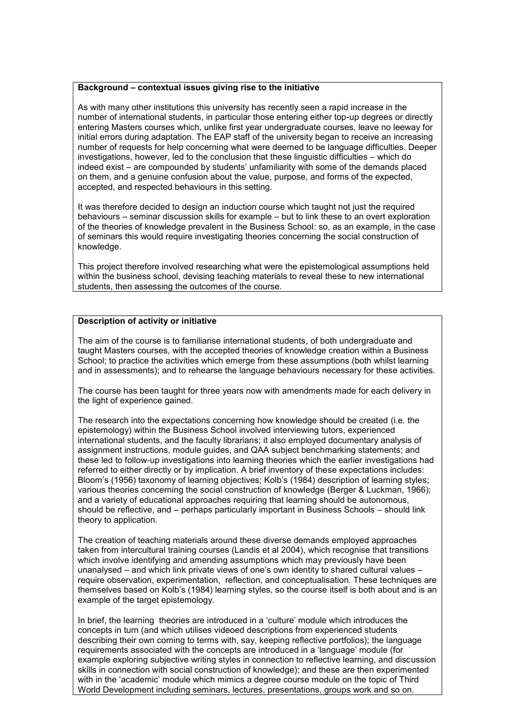## **Background – contextual issues giving rise to the initiative**

As with many other institutions this university has recently seen a rapid increase in the number of international students, in particular those entering either top-up degrees or directly entering Masters courses which, unlike first year undergraduate courses, leave no leeway for initial errors during adaptation. The EAP staff of the university began to receive an increasing number of requests for help concerning what were deemed to be language difficulties. Deeper investigations, however, led to the conclusion that these linguistic difficulties – which do indeed exist – are compounded by students' unfamiliarity with some of the demands placed on them, and a genuine confusion about the value, purpose, and forms of the expected, accepted, and respected behaviours in this setting.

It was therefore decided to design an induction course which taught not just the required behaviours – seminar discussion skills for example – but to link these to an overt exploration of the theories of knowledge prevalent in the Business School: so, as an example, in the case of seminars this would require investigating theories concerning the social construction of knowledge.

This project therefore involved researching what were the epistemological assumptions held within the business school, devising teaching materials to reveal these to new international students, then assessing the outcomes of the course.

# **Description of activity or initiative**

The aim of the course is to familiarise international students, of both undergraduate and taught Masters courses, with the accepted theories of knowledge creation within a Business School; to practice the activities which emerge from these assumptions (both whilst learning and in assessments); and to rehearse the language behaviours necessary for these activities.

The course has been taught for three years now with amendments made for each delivery in the light of experience gained.

The research into the expectations concerning how knowledge should be created (i.e. the epistemology) within the Business School involved interviewing tutors, experienced international students, and the faculty librarians; it also employed documentary analysis of assignment instructions, module guides, and QAA subject benchmarking statements; and these led to follow-up investigations into learning theories which the earlier investigations had referred to either directly or by implication. A brief inventory of these expectations includes: Bloom's (1956) taxonomy of learning objectives; Kolb's (1984) description of learning styles; various theories concerning the social construction of knowledge (Berger & Luckman, 1966); and a variety of educational approaches requiring that learning should be autonomous, should be reflective, and – perhaps particularly important in Business Schools – should link theory to application.

The creation of teaching materials around these diverse demands employed approaches taken from intercultural training courses (Landis et al 2004), which recognise that transitions which involve identifying and amending assumptions which may previously have been unanalysed – and which link private views of one's own identity to shared cultural values – require observation, experimentation, reflection, and conceptualisation. These techniques are themselves based on Kolb's (1984) learning styles, so the course itself is both about and is an example of the target epistemology.

In brief, the learning theories are introduced in a 'culture' module which introduces the concepts in turn (and which utilises videoed descriptions from experienced students describing their own coming to terms with, say, keeping reflective portfolios); the language requirements associated with the concepts are introduced in a 'language' module (for example exploring subjective writing styles in connection to reflective learning, and discussion skills in connection with social construction of knowledge); and these are then experimented with in the 'academic' module which mimics a degree course module on the topic of Third World Development including seminars, lectures, presentations, groups work and so on.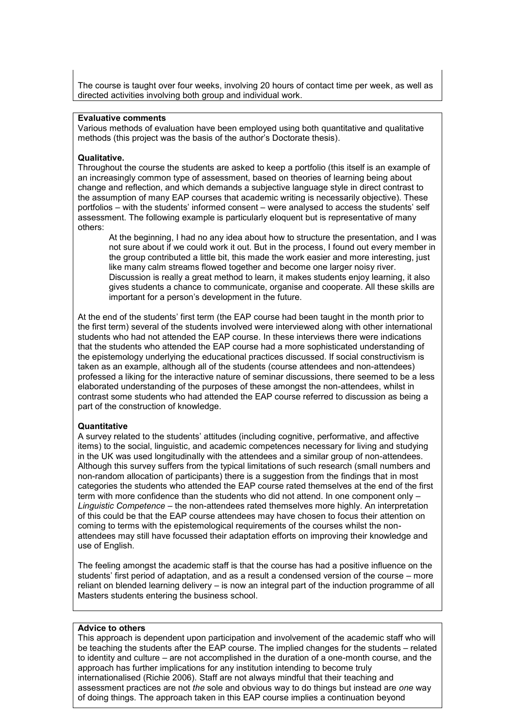The course is taught over four weeks, involving 20 hours of contact time per week, as well as directed activities involving both group and individual work.

## **Evaluative comments**

Various methods of evaluation have been employed using both quantitative and qualitative methods (this project was the basis of the author's Doctorate thesis).

## **Qualitative.**

Throughout the course the students are asked to keep a portfolio (this itself is an example of an increasingly common type of assessment, based on theories of learning being about change and reflection, and which demands a subjective language style in direct contrast to the assumption of many EAP courses that academic writing is necessarily objective). These portfolios – with the students' informed consent – were analysed to access the students' self assessment. The following example is particularly eloquent but is representative of many others:

At the beginning, I had no any idea about how to structure the presentation, and I was not sure about if we could work it out. But in the process, I found out every member in the group contributed a little bit, this made the work easier and more interesting, just like many calm streams flowed together and become one larger noisy river. Discussion is really a great method to learn, it makes students enjoy learning, it also gives students a chance to communicate, organise and cooperate. All these skills are important for a person's development in the future.

At the end of the students' first term (the EAP course had been taught in the month prior to the first term) several of the students involved were interviewed along with other international students who had not attended the EAP course. In these interviews there were indications that the students who attended the EAP course had a more sophisticated understanding of the epistemology underlying the educational practices discussed. If social constructivism is taken as an example, although all of the students (course attendees and non-attendees) professed a liking for the interactive nature of seminar discussions, there seemed to be a less elaborated understanding of the purposes of these amongst the non-attendees, whilst in contrast some students who had attended the EAP course referred to discussion as being a part of the construction of knowledge.

## **Quantitative**

A survey related to the students' attitudes (including cognitive, performative, and affective items) to the social, linguistic, and academic competences necessary for living and studying in the UK was used longitudinally with the attendees and a similar group of non-attendees. Although this survey suffers from the typical limitations of such research (small numbers and non-random allocation of participants) there is a suggestion from the findings that in most categories the students who attended the EAP course rated themselves at the end of the first term with more confidence than the students who did not attend. In one component only – *Linguistic Competence* – the non-attendees rated themselves more highly. An interpretation of this could be that the EAP course attendees may have chosen to focus their attention on coming to terms with the epistemological requirements of the courses whilst the nonattendees may still have focussed their adaptation efforts on improving their knowledge and use of English.

The feeling amongst the academic staff is that the course has had a positive influence on the students' first period of adaptation, and as a result a condensed version of the course – more reliant on blended learning delivery – is now an integral part of the induction programme of all Masters students entering the business school.

## **Advice to others**

This approach is dependent upon participation and involvement of the academic staff who will be teaching the students after the EAP course. The implied changes for the students – related to identity and culture – are not accomplished in the duration of a one-month course, and the approach has further implications for any institution intending to become truly internationalised (Richie 2006). Staff are not always mindful that their teaching and assessment practices are not *the* sole and obvious way to do things but instead are *one* way of doing things. The approach taken in this EAP course implies a continuation beyond